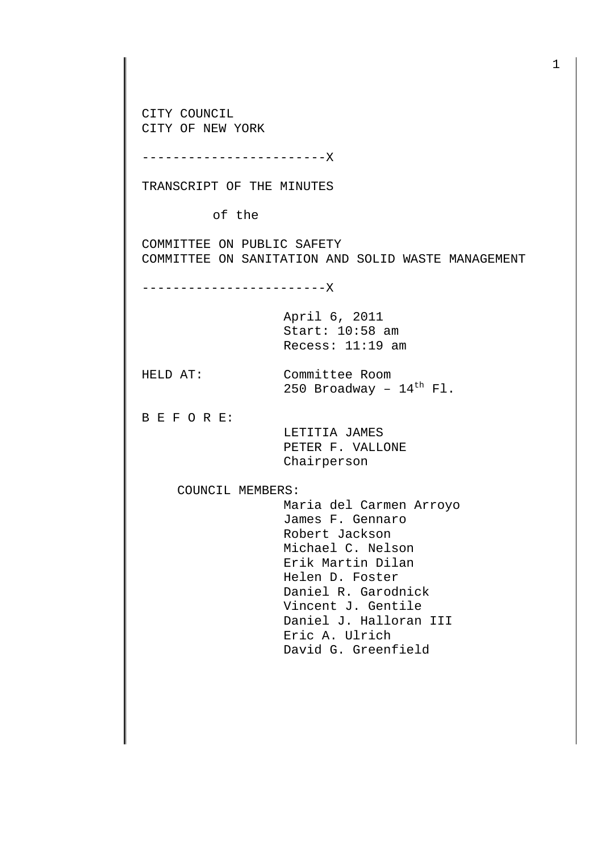CITY COUNCIL CITY OF NEW YORK ------------------------X TRANSCRIPT OF THE MINUTES of the COMMITTEE ON PUBLIC SAFETY COMMITTEE ON SANITATION AND SOLID WASTE MANAGEMENT ------------------------X April 6, 2011 Start: 10:58 am Recess: 11:19 am HELD AT: Committee Room 250 Broadway -  $14^{\text{th}}$  Fl. B E F O R E: LETITIA JAMES PETER F. VALLONE Chairperson COUNCIL MEMBERS: Maria del Carmen Arroyo James F. Gennaro Robert Jackson Michael C. Nelson Erik Martin Dilan Helen D. Foster Daniel R. Garodnick Vincent J. Gentile Daniel J. Halloran III Eric A. Ulrich David G. Greenfield

1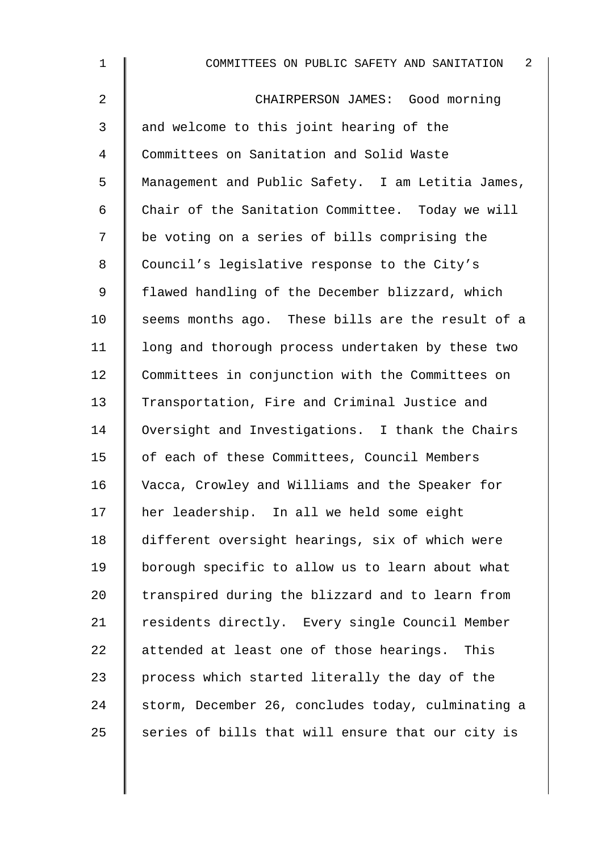| $\mathbf 1$ | 2<br>COMMITTEES ON PUBLIC SAFETY AND SANITATION    |
|-------------|----------------------------------------------------|
| 2           | CHAIRPERSON JAMES: Good morning                    |
| 3           | and welcome to this joint hearing of the           |
| 4           | Committees on Sanitation and Solid Waste           |
| 5           | Management and Public Safety. I am Letitia James,  |
| 6           | Chair of the Sanitation Committee. Today we will   |
| 7           | be voting on a series of bills comprising the      |
| 8           | Council's legislative response to the City's       |
| 9           | flawed handling of the December blizzard, which    |
| 10          | seems months ago. These bills are the result of a  |
| 11          | long and thorough process undertaken by these two  |
| 12          | Committees in conjunction with the Committees on   |
| 13          | Transportation, Fire and Criminal Justice and      |
| 14          | Oversight and Investigations. I thank the Chairs   |
| 15          | of each of these Committees, Council Members       |
| 16          | Vacca, Crowley and Williams and the Speaker for    |
| 17          | her leadership. In all we held some eight          |
| 18          | different oversight hearings, six of which were    |
| 19          | borough specific to allow us to learn about what   |
| 20          | transpired during the blizzard and to learn from   |
| 21          | residents directly. Every single Council Member    |
| 22          | attended at least one of those hearings.<br>This   |
| 23          | process which started literally the day of the     |
| 24          | storm, December 26, concludes today, culminating a |
| 25          | series of bills that will ensure that our city is  |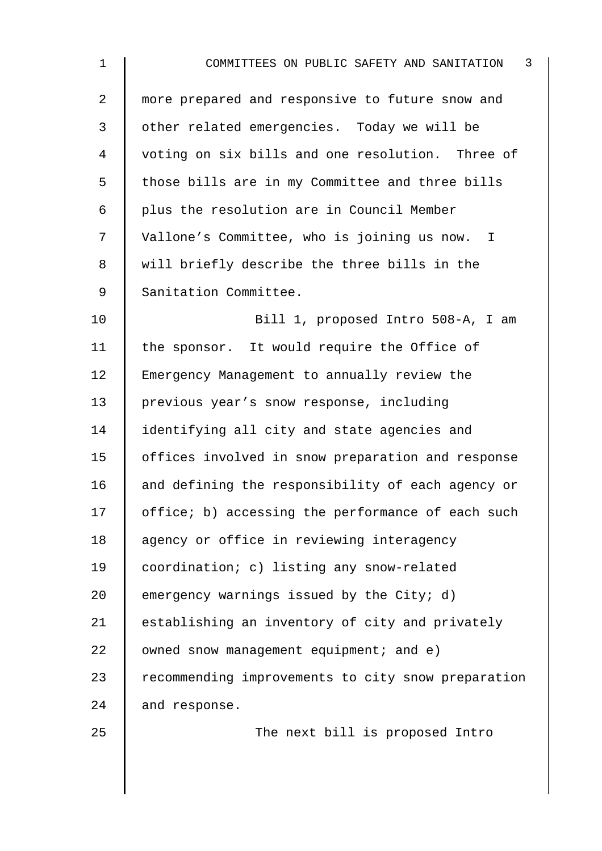| $\mathbf 1$    | $\mathbf{3}$<br>COMMITTEES ON PUBLIC SAFETY AND SANITATION |
|----------------|------------------------------------------------------------|
| $\overline{2}$ | more prepared and responsive to future snow and            |
| 3              | other related emergencies. Today we will be                |
| 4              | voting on six bills and one resolution. Three of           |
| 5              | those bills are in my Committee and three bills            |
| 6              | plus the resolution are in Council Member                  |
| 7              | Vallone's Committee, who is joining us now. I              |
| 8              | will briefly describe the three bills in the               |
| $\mathsf 9$    | Sanitation Committee.                                      |
| 10             | Bill 1, proposed Intro 508-A, I am                         |
| 11             | the sponsor. It would require the Office of                |
| 12             | Emergency Management to annually review the                |
| 13             | previous year's snow response, including                   |
| 14             | identifying all city and state agencies and                |
| 15             | offices involved in snow preparation and response          |
| 16             | and defining the responsibility of each agency or          |
| 17             | office; b) accessing the performance of each such          |
| 18             | agency or office in reviewing interagency                  |
| 19             | coordination; c) listing any snow-related                  |
| 20             | emergency warnings issued by the City; d)                  |
| 21             | establishing an inventory of city and privately            |
| 22             | owned snow management equipment; and e)                    |
| 23             | recommending improvements to city snow preparation         |
| 24             | and response.                                              |
| 25             | The next bill is proposed Intro                            |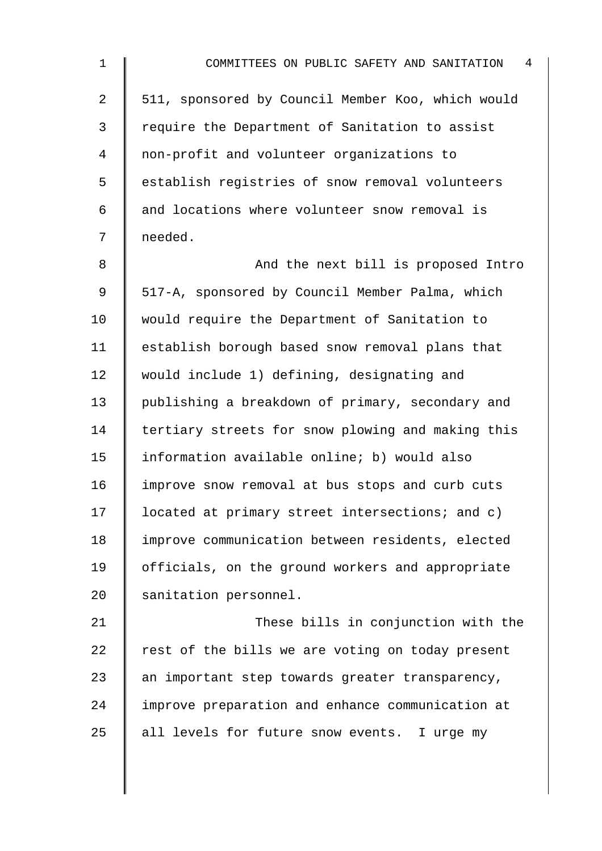| $\mathbf 1$    | $\overline{4}$<br>COMMITTEES ON PUBLIC SAFETY AND SANITATION |
|----------------|--------------------------------------------------------------|
| $\overline{a}$ | 511, sponsored by Council Member Koo, which would            |
| 3              | require the Department of Sanitation to assist               |
| 4              | non-profit and volunteer organizations to                    |
| 5              | establish registries of snow removal volunteers              |
| 6              | and locations where volunteer snow removal is                |
| 7              | needed.                                                      |
| 8              | And the next bill is proposed Intro                          |
| 9              | 517-A, sponsored by Council Member Palma, which              |
| 10             | would require the Department of Sanitation to                |
| 11             | establish borough based snow removal plans that              |
| 12             | would include 1) defining, designating and                   |
| 13             | publishing a breakdown of primary, secondary and             |
| 14             | tertiary streets for snow plowing and making this            |
| 15             | information available online; b) would also                  |
| 16             | improve snow removal at bus stops and curb cuts              |
| 17             | located at primary street intersections; and c)              |
| 18             | improve communication between residents, elected             |
| 19             | officials, on the ground workers and appropriate             |
| 20             | sanitation personnel.                                        |
| 21             | These bills in conjunction with the                          |
| 22             | rest of the bills we are voting on today present             |
| 23             | an important step towards greater transparency,              |
| 24             | improve preparation and enhance communication at             |
| 25             | all levels for future snow events. I urge my                 |
|                |                                                              |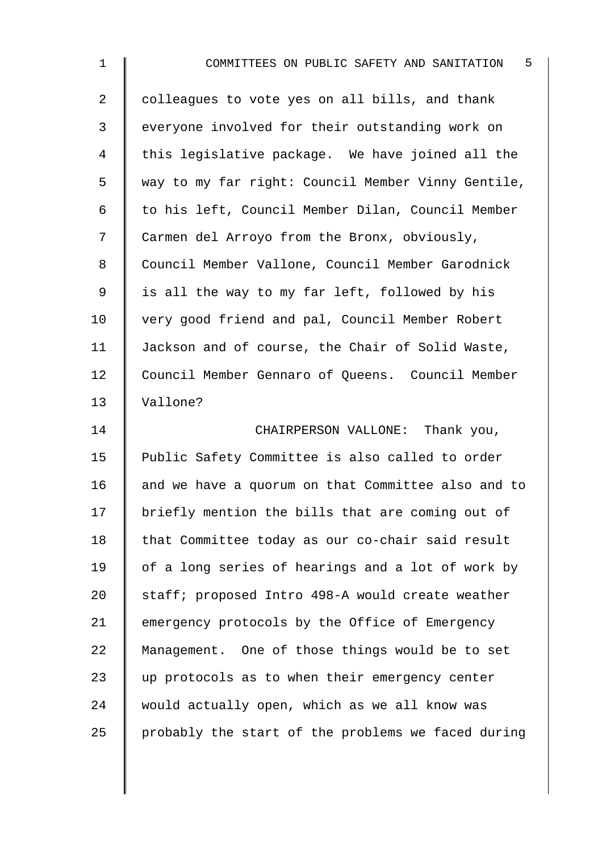| $\mathbf 1$    | COMMITTEES ON PUBLIC SAFETY AND SANITATION 5       |
|----------------|----------------------------------------------------|
| $\overline{2}$ | colleagues to vote yes on all bills, and thank     |
| 3              | everyone involved for their outstanding work on    |
| 4              | this legislative package. We have joined all the   |
| 5              | way to my far right: Council Member Vinny Gentile, |
| 6              | to his left, Council Member Dilan, Council Member  |
| 7              | Carmen del Arroyo from the Bronx, obviously,       |
| 8              | Council Member Vallone, Council Member Garodnick   |
| $\mathsf 9$    | is all the way to my far left, followed by his     |
| 10             | very good friend and pal, Council Member Robert    |
| 11             | Jackson and of course, the Chair of Solid Waste,   |
| 12             | Council Member Gennaro of Queens. Council Member   |
| 13             | Vallone?                                           |
| 14             | CHAIRPERSON VALLONE: Thank you,                    |
| 15             | Public Safety Committee is also called to order    |
| 16             | and we have a quorum on that Committee also and to |
| 17             | briefly mention the bills that are coming out of   |
| 18             | that Committee today as our co-chair said result   |
| 19             | of a long series of hearings and a lot of work by  |
| 20             | staff; proposed Intro 498-A would create weather   |
| 21             | emergency protocols by the Office of Emergency     |
| 22             | Management. One of those things would be to set    |
| 23             | up protocols as to when their emergency center     |
| 24             | would actually open, which as we all know was      |
| 25             | probably the start of the problems we faced during |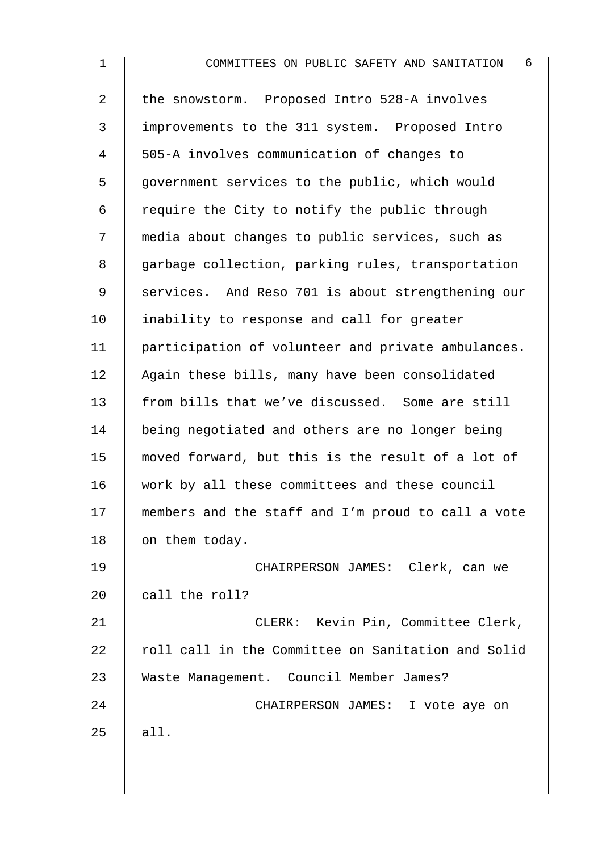1 **||** COMMITTEES ON PUBLIC SAFETY AND SANITATION 6 2 the snowstorm. Proposed Intro 528-A involves 3 improvements to the 311 system. Proposed Intro 4 505-A involves communication of changes to 5 | government services to the public, which would 6 | require the City to notify the public through 7 media about changes to public services, such as 8 garbage collection, parking rules, transportation 9 Services. And Reso 701 is about strengthening our  $10$  | inability to response and call for greater 11 | participation of volunteer and private ambulances. 12 Again these bills, many have been consolidated 13 from bills that we've discussed. Some are still 14 | being negotiated and others are no longer being 15 moved forward, but this is the result of a lot of 16 work by all these committees and these council 17 members and the staff and I'm proud to call a vote 18 | on them today. 19 CHAIRPERSON JAMES: Clerk, can we 20  $\parallel$  call the roll? 21 | CLERK: Kevin Pin, Committee Clerk,  $22$   $\parallel$  roll call in the Committee on Sanitation and Solid 23 Waste Management. Council Member James? 24 CHAIRPERSON JAMES: I vote aye on 25  $|$  all.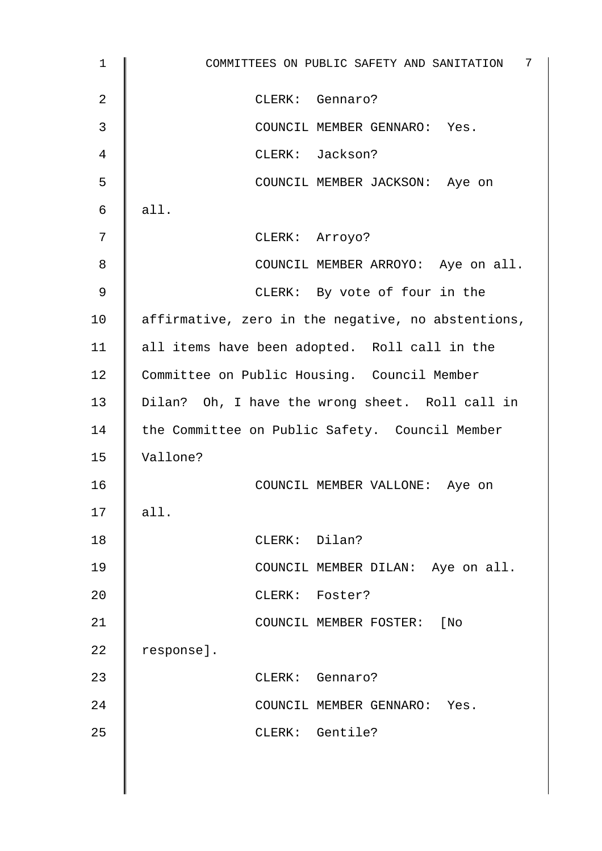| $\mathbf{1}$ | COMMITTEES ON PUBLIC SAFETY AND SANITATION 7       |
|--------------|----------------------------------------------------|
| 2            | CLERK: Gennaro?                                    |
| 3            | COUNCIL MEMBER GENNARO: Yes.                       |
| 4            | CLERK: Jackson?                                    |
| 5            | COUNCIL MEMBER JACKSON: Aye on                     |
| 6            | all.                                               |
| 7            | CLERK: Arroyo?                                     |
| 8            | COUNCIL MEMBER ARROYO: Aye on all.                 |
| 9            | CLERK: By vote of four in the                      |
| 10           | affirmative, zero in the negative, no abstentions, |
| 11           | all items have been adopted. Roll call in the      |
| 12           | Committee on Public Housing. Council Member        |
| 13           | Dilan? Oh, I have the wrong sheet. Roll call in    |
| 14           | the Committee on Public Safety. Council Member     |
| 15           | Vallone?                                           |
| 16           | COUNCIL MEMBER VALLONE: Aye on                     |
| 17           | all.                                               |
| 18           | CLERK: Dilan?                                      |
| 19           | COUNCIL MEMBER DILAN: Aye on all.                  |
| 20           | CLERK: Foster?                                     |
| 21           | COUNCIL MEMBER FOSTER: [No                         |
| 22           | response].                                         |
| 23           | CLERK: Gennaro?                                    |
| 24           | COUNCIL MEMBER GENNARO: Yes.                       |
| 25           | CLERK: Gentile?                                    |
|              |                                                    |
|              |                                                    |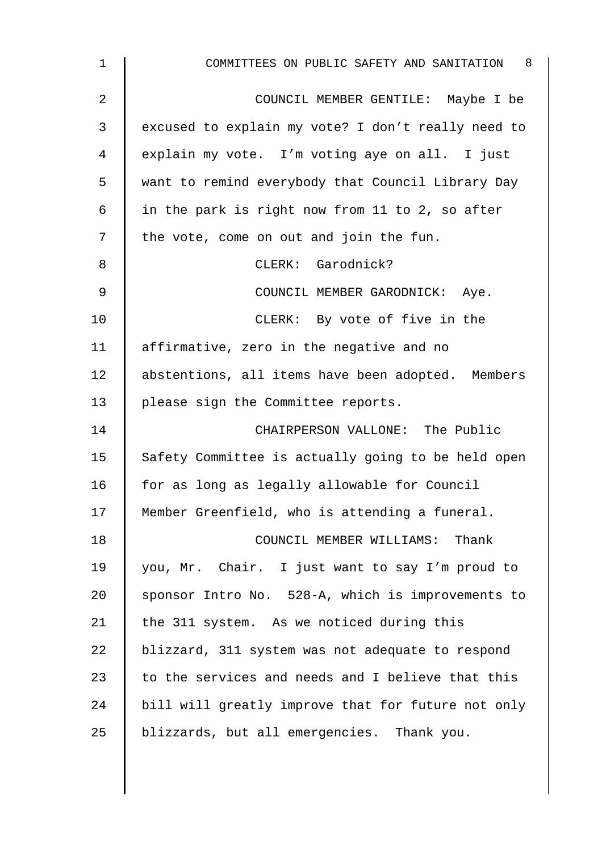| $\mathbf 1$ | COMMITTEES ON PUBLIC SAFETY AND SANITATION 8       |
|-------------|----------------------------------------------------|
| 2           | COUNCIL MEMBER GENTILE: Maybe I be                 |
| 3           | excused to explain my vote? I don't really need to |
| 4           | explain my vote. I'm voting aye on all. I just     |
| 5           | want to remind everybody that Council Library Day  |
| 6           | in the park is right now from 11 to 2, so after    |
| 7           | the vote, come on out and join the fun.            |
| 8           | CLERK: Garodnick?                                  |
| 9           | COUNCIL MEMBER GARODNICK: Aye.                     |
| 10          | CLERK: By vote of five in the                      |
| 11          | affirmative, zero in the negative and no           |
| 12          | abstentions, all items have been adopted. Members  |
| 13          | please sign the Committee reports.                 |
| 14          | CHAIRPERSON VALLONE: The Public                    |
| 15          | Safety Committee is actually going to be held open |
| 16          | for as long as legally allowable for Council       |
| 17          | Member Greenfield, who is attending a funeral.     |
| 18          | COUNCIL MEMBER WILLIAMS: Thank                     |
| 19          | you, Mr. Chair. I just want to say I'm proud to    |
| 20          | sponsor Intro No. 528-A, which is improvements to  |
| 21          | the 311 system. As we noticed during this          |
| 22          | blizzard, 311 system was not adequate to respond   |
| 23          | to the services and needs and I believe that this  |
| 24          | bill will greatly improve that for future not only |
| 25          | blizzards, but all emergencies. Thank you.         |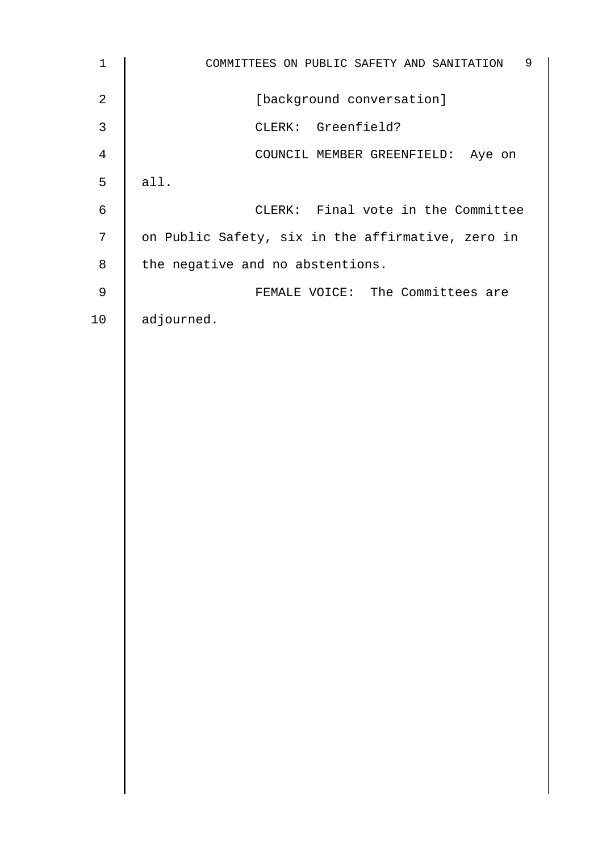| $\mathbf 1$    | 9<br>COMMITTEES ON PUBLIC SAFETY AND SANITATION   |
|----------------|---------------------------------------------------|
| $\mathbf{2}$   | [background conversation]                         |
| $\mathbf{3}$   | CLERK: Greenfield?                                |
| $\overline{4}$ | COUNCIL MEMBER GREENFIELD: Aye on                 |
| 5              | all.                                              |
| $\epsilon$     | CLERK: Final vote in the Committee                |
| $\overline{7}$ | on Public Safety, six in the affirmative, zero in |
| $\,8\,$        | the negative and no abstentions.                  |
| $\mathsf 9$    | FEMALE VOICE: The Committees are                  |
| 10             | adjourned.                                        |
|                |                                                   |
|                |                                                   |
|                |                                                   |
|                |                                                   |
|                |                                                   |
|                |                                                   |
|                |                                                   |
|                |                                                   |
|                |                                                   |
|                |                                                   |
|                |                                                   |
|                |                                                   |
|                |                                                   |
|                |                                                   |
|                |                                                   |
|                |                                                   |
|                |                                                   |